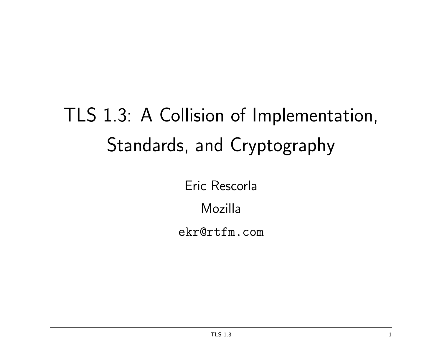# TLS 1.3: A Collision of Implementation, Standards, and Cryptography

Eric Rescorla

Mozilla

ekr@rtfm.com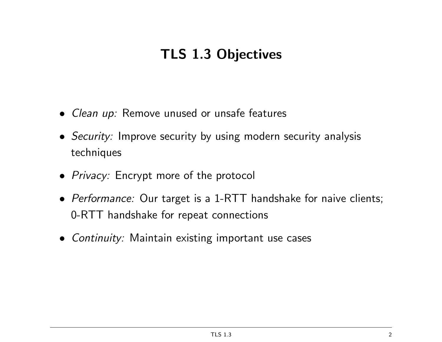# TLS 1.3 Objectives

- *Clean up:* Remove unused or unsafe features
- Security: Improve security by using modern security analysis techniques
- Privacy: Encrypt more of the protocol
- Performance: Our target is a 1-RTT handshake for naive clients; 0-RTT handshake for repeat connections
- Continuity: Maintain existing important use cases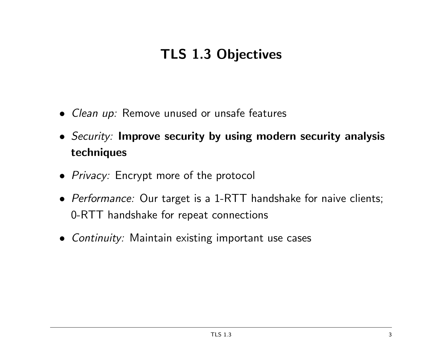# TLS 1.3 Objectives

- *Clean up:* Remove unused or unsafe features
- Security: Improve security by using modern security analysis techniques
- Privacy: Encrypt more of the protocol
- Performance: Our target is a 1-RTT handshake for naive clients; 0-RTT handshake for repeat connections
- Continuity: Maintain existing important use cases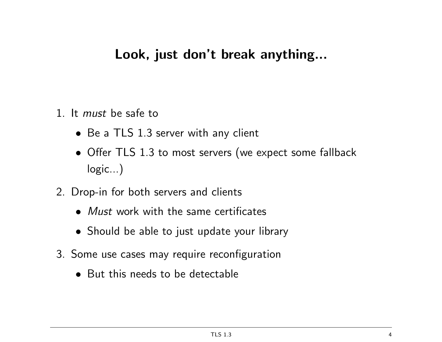#### Look, just don't break anything...

- 1. It must be safe to
	- Be a TLS 1.3 server with any client
	- Offer TLS 1.3 to most servers (we expect some fallback logic...)
- 2. Drop-in for both servers and clients
	- Must work with the same certificates
	- Should be able to just update your library
- 3. Some use cases may require reconfiguration
	- But this needs to be detectable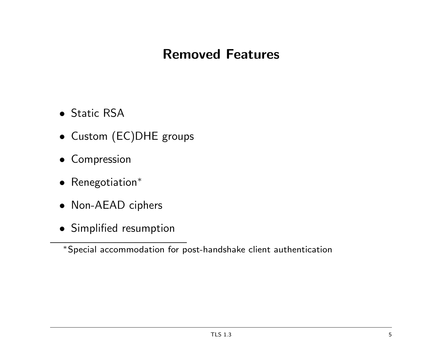#### Removed Features

- Static RSA
- Custom (EC)DHE groups
- Compression
- Renegotiation<sup>∗</sup>
- Non-AEAD ciphers
- Simplified resumption

∗ Special accommodation for post-handshake client authentication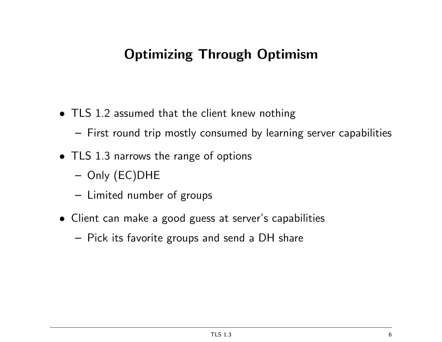### Optimizing Through Optimism

- TLS 1.2 assumed that the client knew nothing
	- First round trip mostly consumed by learning server capabilities
- TLS 1.3 narrows the range of options
	- Only (EC)DHE
	- Limited number of groups
- Client can make a good guess at server's capabilities
	- Pick its favorite groups and send a DH share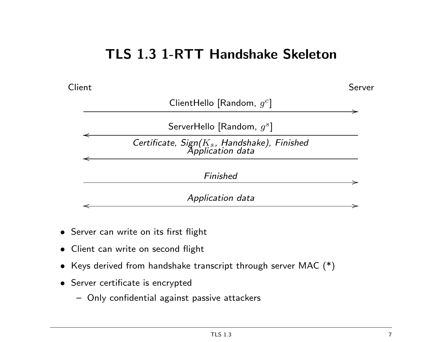#### TLS 1.3 1-RTT Handshake Skeleton



- Server can write on its first flight
- Client can write on second flight
- Keys derived from handshake transcript through server MAC (\*)
- Server certificate is encrypted
	- Only confidential against passive attackers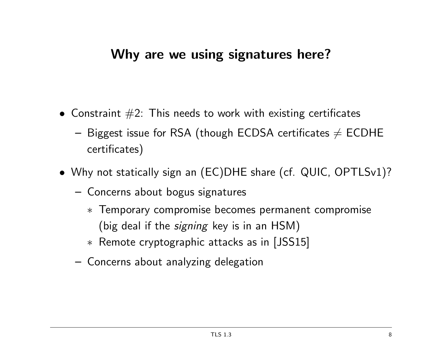#### Why are we using signatures here?

- Constraint  $#2$ : This needs to work with existing certificates
	- Biggest issue for RSA (though ECDSA certificates  $\neq$  ECDHE certificates)
- Why not statically sign an (EC)DHE share (cf. QUIC, OPTLSv1)?
	- Concerns about bogus signatures
		- ∗ Temporary compromise becomes permanent compromise
			- (big deal if the *signing* key is in an HSM)
		- ∗ Remote cryptographic attacks as in [JSS15]
	- Concerns about analyzing delegation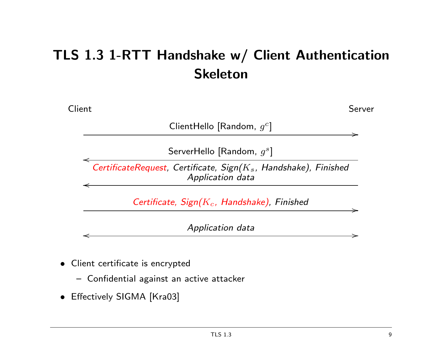# TLS 1.3 1-RTT Handshake w/ Client Authentication Skeleton



- Client certificate is encrypted
	- Confidential against an active attacker
- Effectively SIGMA [Kra03]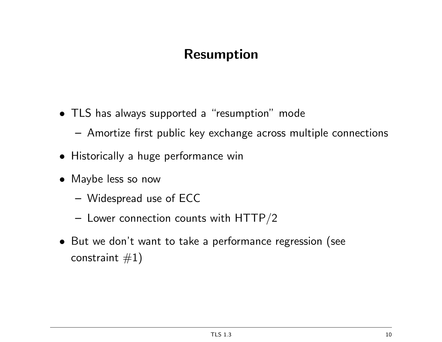### Resumption

- TLS has always supported a "resumption" mode
	- Amortize first public key exchange across multiple connections
- Historically a huge performance win
- Maybe less so now
	- Widespread use of ECC
	- $-$  Lower connection counts with HTTP/2
- But we don't want to take a performance regression (see constraint  $\#1)$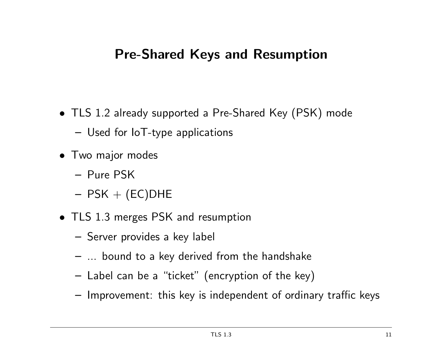#### Pre-Shared Keys and Resumption

- TLS 1.2 already supported a Pre-Shared Key (PSK) mode
	- Used for IoT-type applications
- Two major modes
	- Pure PSK
	- $-$  PSK  $+$  (EC)DHE
- TLS 1.3 merges PSK and resumption
	- Server provides a key label
	- ... bound to a key derived from the handshake
	- Label can be a "ticket" (encryption of the key)
	- Improvement: this key is independent of ordinary traffic keys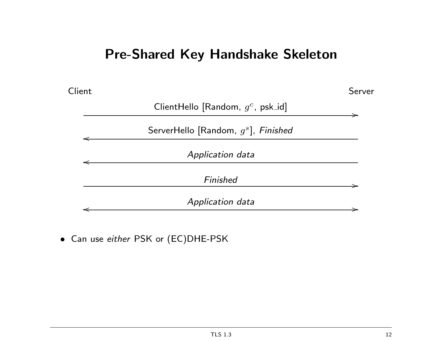#### Pre-Shared Key Handshake Skeleton



• Can use either PSK or (EC)DHE-PSK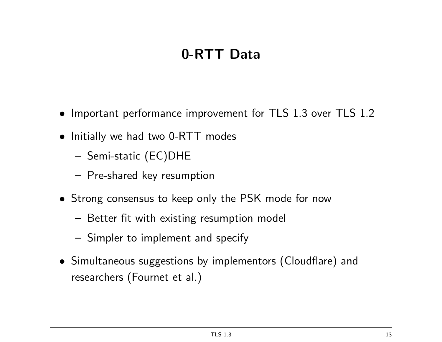# 0-RTT Data

- Important performance improvement for TLS 1.3 over TLS 1.2
- Initially we had two 0-RTT modes
	- Semi-static (EC)DHE
	- Pre-shared key resumption
- Strong consensus to keep only the PSK mode for now
	- Better fit with existing resumption model
	- Simpler to implement and specify
- Simultaneous suggestions by implementors (Cloudflare) and researchers (Fournet et al.)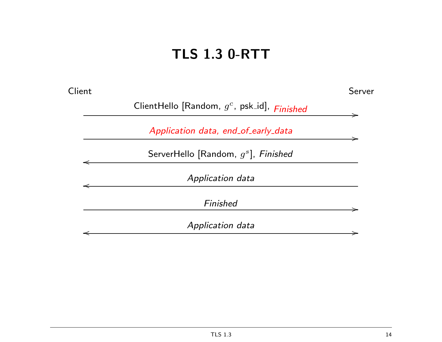# TLS 1.3 0-RTT

| Client |                                                 | Server |
|--------|-------------------------------------------------|--------|
|        | ClientHello [Random, $g^c$ , psk_id], $Finshed$ |        |
|        | Application data, end_of_early_data             |        |
|        | ServerHello [Random, $g^s$ ], Finished          |        |
|        | Application data                                |        |
|        | Finished                                        |        |
|        | Application data                                |        |
|        |                                                 |        |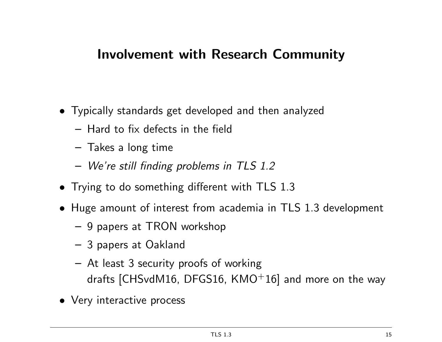#### Involvement with Research Community

- Typically standards get developed and then analyzed
	- Hard to fix defects in the field
	- Takes a long time
	- We're still finding problems in TLS 1.2
- Trying to do something different with TLS 1.3
- Huge amount of interest from academia in TLS 1.3 development
	- 9 papers at TRON workshop
	- 3 papers at Oakland
	- At least 3 security proofs of working drafts  $[CHSvdM16, DFGS16, KMO+16]$  and more on the way
- Very interactive process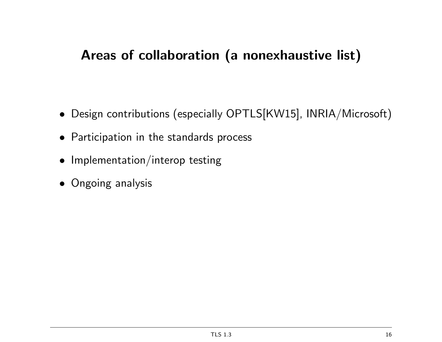### Areas of collaboration (a nonexhaustive list)

- Design contributions (especially OPTLS[KW15], INRIA/Microsoft)
- Participation in the standards process
- Implementation/interop testing
- Ongoing analysis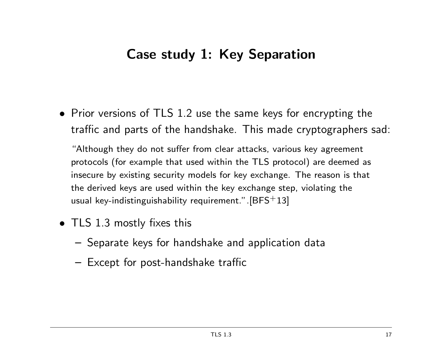#### Case study 1: Key Separation

• Prior versions of TLS 1.2 use the same keys for encrypting the traffic and parts of the handshake. This made cryptographers sad:

"Although they do not suffer from clear attacks, various key agreement protocols (for example that used within the TLS protocol) are deemed as insecure by existing security models for key exchange. The reason is that the derived keys are used within the key exchange step, violating the usual key-indistinguishability requirement.".  $[BFS+13]$ 

- TLS 1.3 mostly fixes this
	- Separate keys for handshake and application data
	- Except for post-handshake traffic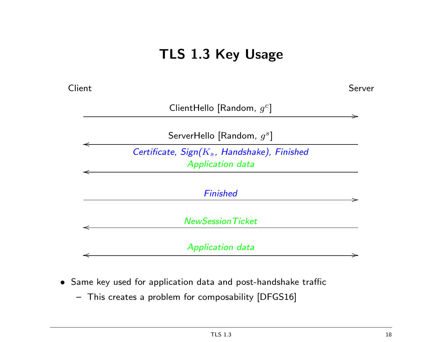# TLS 1.3 Key Usage

**Client** Server ClientHello [Random,  $g^c$ ] / → ServerHello [Random,  $g^s$ ] o Certificate,  $Sign(K_s,$  Handshake), Finished Application data o Finished / NewSessionTicket o Application data o /

- Same key used for application data and post-handshake traffic
	- This creates a problem for composability [DFGS16]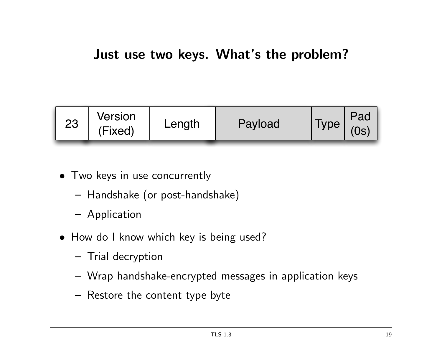

- Two keys in use concurrently
	- Handshake (or post-handshake)
	- Application
- How do I know which key is being used?
	- Trial decryption
	- Wrap handshake-encrypted messages in application keys
	- Restore the content type byte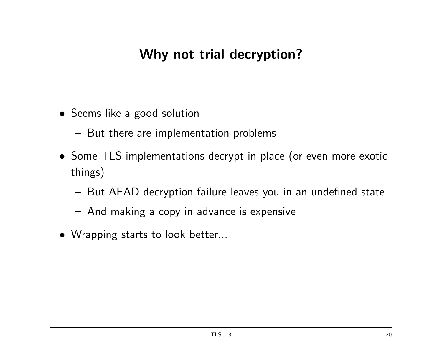#### Why not trial decryption?

- Seems like a good solution
	- But there are implementation problems
- Some TLS implementations decrypt in-place (or even more exotic things)
	- But AEAD decryption failure leaves you in an undefined state
	- And making a copy in advance is expensive
- Wrapping starts to look better...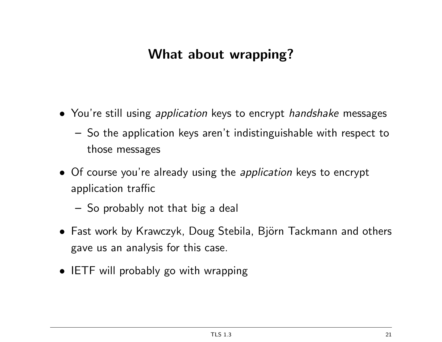### What about wrapping?

- You're still using *application* keys to encrypt *handshake* messages
	- So the application keys aren't indistinguishable with respect to those messages
- Of course you're already using the *application* keys to encrypt application traffic
	- So probably not that big a deal
- Fast work by Krawczyk, Doug Stebila, Björn Tackmann and others gave us an analysis for this case.
- IETF will probably go with wrapping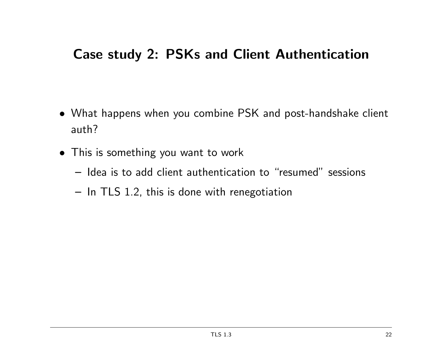#### Case study 2: PSKs and Client Authentication

- What happens when you combine PSK and post-handshake client auth?
- This is something you want to work
	- Idea is to add client authentication to "resumed" sessions
	- In TLS 1.2, this is done with renegotiation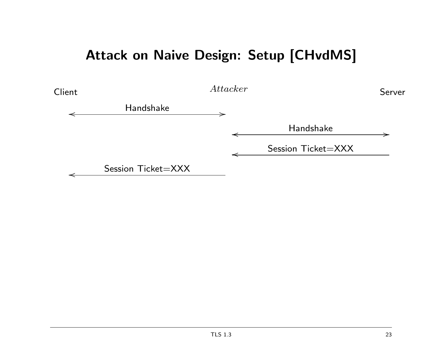#### Attack on Naive Design: Setup [CHvdMS]

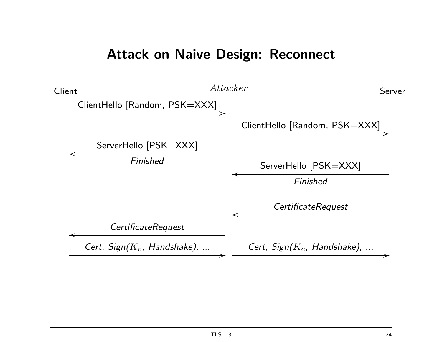#### Attack on Naive Design: Reconnect

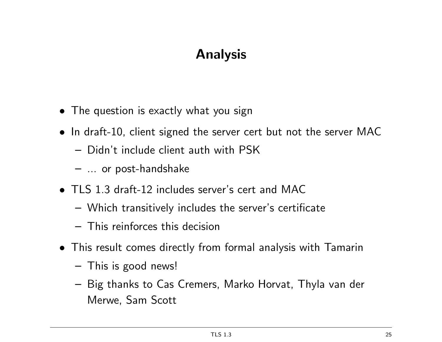# Analysis

- The question is exactly what you sign
- In draft-10, client signed the server cert but not the server MAC
	- Didn't include client auth with PSK
	- ... or post-handshake
- TLS 1.3 draft-12 includes server's cert and MAC
	- Which transitively includes the server's certificate
	- This reinforces this decision
- This result comes directly from formal analysis with Tamarin
	- This is good news!
	- Big thanks to Cas Cremers, Marko Horvat, Thyla van der Merwe, Sam Scott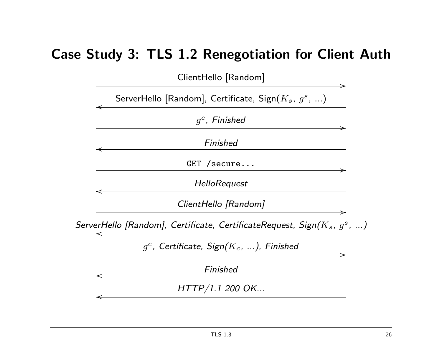#### Case Study 3: TLS 1.2 Renegotiation for Client Auth

ClientHello [Random]

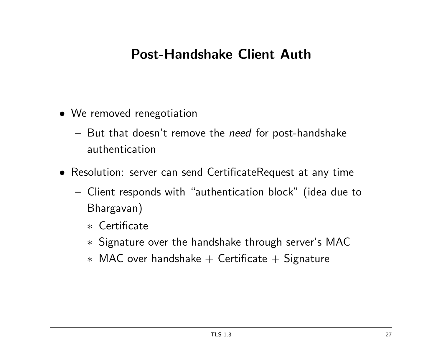#### Post-Handshake Client Auth

- We removed renegotiation
	- But that doesn't remove the need for post-handshake authentication
- Resolution: server can send CertificateRequest at any time
	- Client responds with "authentication block" (idea due to Bhargavan)
		- ∗ Certificate
		- ∗ Signature over the handshake through server's MAC
		- ∗ MAC over handshake + Certificate + Signature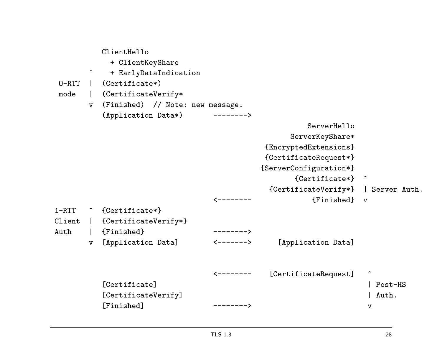| $0 - RTT$<br>mode | $\hat{\phantom{1}}$<br>$\mathbf v$ | ClientHello<br>+ ClientKeyShare<br>+ EarlyDataIndication<br>$(Certificate*)$<br>(CertificateVerify*<br>(Finished) // Note: new message. |                        |                                                                                                                                                                                       |         |
|-------------------|------------------------------------|-----------------------------------------------------------------------------------------------------------------------------------------|------------------------|---------------------------------------------------------------------------------------------------------------------------------------------------------------------------------------|---------|
|                   |                                    | (Application Data*)                                                                                                                     |                        |                                                                                                                                                                                       |         |
|                   |                                    |                                                                                                                                         |                        | ServerHello<br>ServerKeyShare*<br>{EncryptedExtensions}<br>{CertificateRequest*}<br>{ServerConfiguration*}<br>${Certificate*}$<br>{CertificateVerify*}   Server Auth.<br>{Finished} v |         |
| $1 - RTT$         |                                    | <sup>2</sup> {Certificate*}                                                                                                             |                        |                                                                                                                                                                                       |         |
| Client            | $\mathbf{L}$                       | {CertificateVerify*}                                                                                                                    |                        |                                                                                                                                                                                       |         |
| Auth              |                                    | {Finished}                                                                                                                              | $------&$              |                                                                                                                                                                                       |         |
|                   | $\mathbf v$                        | [Application Data]                                                                                                                      | <-------><br><-------- | [Application Data]<br>[CertificateRequest]                                                                                                                                            |         |
|                   |                                    | [Certificate]                                                                                                                           |                        |                                                                                                                                                                                       | Post-HS |
|                   |                                    | [CertificateVerify]                                                                                                                     |                        |                                                                                                                                                                                       | Auth.   |
|                   |                                    | [Finished]                                                                                                                              | -------->              |                                                                                                                                                                                       | v       |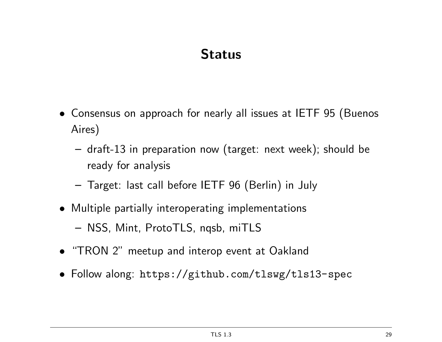# **Status**

- Consensus on approach for nearly all issues at IETF 95 (Buenos Aires)
	- draft-13 in preparation now (target: next week); should be ready for analysis
	- Target: last call before IETF 96 (Berlin) in July
- Multiple partially interoperating implementations
	- NSS, Mint, ProtoTLS, nqsb, miTLS
- "TRON 2" meetup and interop event at Oakland
- Follow along: https://github.com/tlswg/tls13-spec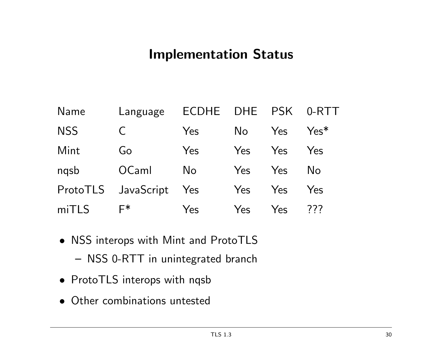#### Implementation Status

| Name       | Language   | <b>ECDHE</b>   | <b>DHE</b> | <b>PSK</b> | 0-RTT  |
|------------|------------|----------------|------------|------------|--------|
| <b>NSS</b> | $\subset$  | Yes            | No         | Yes        | $Yes*$ |
| Mint       | Go         | Yes            | Yes        | Yes        | Yes    |
| nqsb       | OCaml      | N <sub>o</sub> | Yes        | <b>Yes</b> | No.    |
| ProtoTLS   | JavaScript | Yes            | Yes        | Yes        | Yes    |
| miTLS      | $F*$       | Yes            | Yes        | Yes        | 777    |

- NSS interops with Mint and ProtoTLS
	- NSS 0-RTT in unintegrated branch
- ProtoTLS interops with nqsb
- Other combinations untested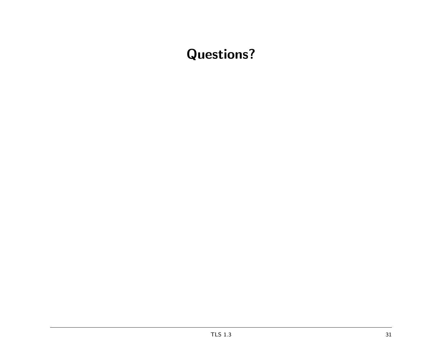# Questions?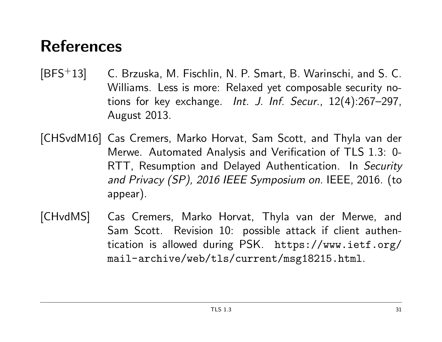# References

- [BFS<sup>+</sup>13] C. Brzuska, M. Fischlin, N. P. Smart, B. Warinschi, and S. C. Williams. Less is more: Relaxed yet composable security notions for key exchange. Int. J. Inf. Secur., 12(4):267–297, August 2013.
- [CHSvdM16] Cas Cremers, Marko Horvat, Sam Scott, and Thyla van der Merwe. Automated Analysis and Verification of TLS 1.3: 0- RTT, Resumption and Delayed Authentication. In Security and Privacy (SP), 2016 IEEE Symposium on. IEEE, 2016. (to appear).
- [CHvdMS] Cas Cremers, Marko Horvat, Thyla van der Merwe, and Sam Scott. Revision 10: possible attack if client authentication is allowed during PSK. https://www.ietf.org/ mail-archive/web/tls/current/msg18215.html.